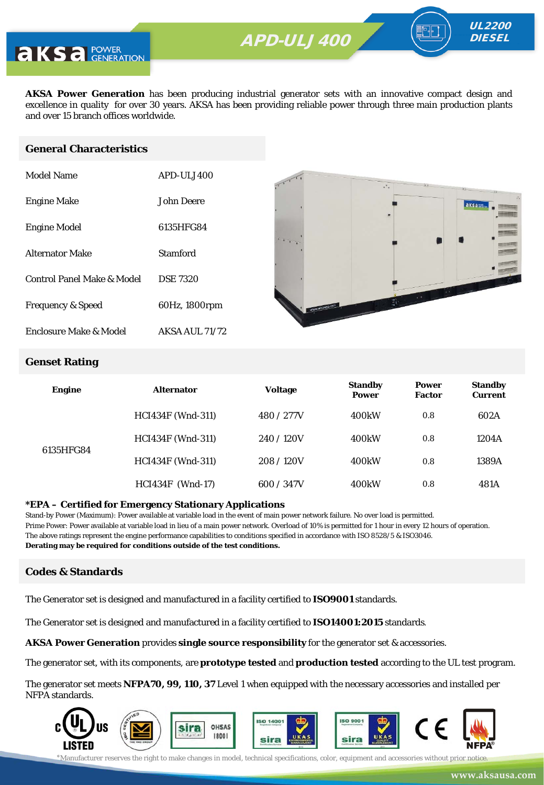

**AKSA Power Generation** has been producing industrial generator sets with an innovative compact design and excellence in quality for over 30 years. AKSA has been providing reliable power through three main production plants and over 15 branch offices worldwide.

#### **General Characteristics**

| Model Name                   | <b>APD-UL1400</b>     |
|------------------------------|-----------------------|
| <b>Engine Make</b>           | John Deere            |
| <b>Engine Model</b>          | 6135HFG84             |
| <b>Alternator Make</b>       | Stamford              |
| Control Panel Make & Model   | <b>DSE 7320</b>       |
| <b>Frequency &amp; Speed</b> | 60Hz, 1800rpm         |
| Enclosure Make & Model       | <b>AKSA AUL 71/72</b> |



UL2200 **DIESEL** 

#### **Genset Rating**

| <b>Engine</b> | <b>Alternator</b>        | <b>Voltage</b> | <b>Standby</b><br><b>Power</b> | <b>Power</b><br><b>Factor</b> | <b>Standby</b><br><b>Current</b> |
|---------------|--------------------------|----------------|--------------------------------|-------------------------------|----------------------------------|
| 6135HFG84     | <b>HCI434F</b> (Wnd-311) | 480 / 277V     | 400 <sub>k</sub> W             | 0.8                           | 602A                             |
|               | <b>HCI434F</b> (Wnd-311) | 240/120V       | 400 <sub>k</sub> W             | 0.8                           | 1204A                            |
|               | <b>HCI434F</b> (Wnd-311) | 208/120V       | 400 <sub>k</sub> W             | 0.8                           | 1389A                            |
|               | $HCI434F$ (Wnd-17)       | 600 / 347V     | 400 <sub>k</sub> W             | 0.8                           | 481A                             |

#### **\*EPA – Certified for Emergency Stationary Applications**

Stand-by Power (Maximum): Power available at variable load in the event of main power network failure. No over load is permitted. Prime Power: Power available at variable load in lieu of a main power network. Overload of 10% is permitted for 1 hour in every 12 hours of operation. The above ratings represent the engine performance capabilities to conditions specified in accordance with ISO 8528/5 & ISO3046. **Derating may be required for conditions outside of the test conditions.**

#### **Codes & Standards**

The Generator set is designed and manufactured in a facility certified to **ISO9001** standards.

The Generator set is designed and manufactured in a facility certified to **ISO14001:2015** standards.

**AKSA Power Generation** provides **single source responsibility** for the generator set & accessories.

The generator set, with its components, are **prototype tested** and **production tested** according to the UL test program.

The generator set meets **NFPA70, 99, 110, 37** Level 1 when equipped with the necessary accessories and installed per NFPA standards.

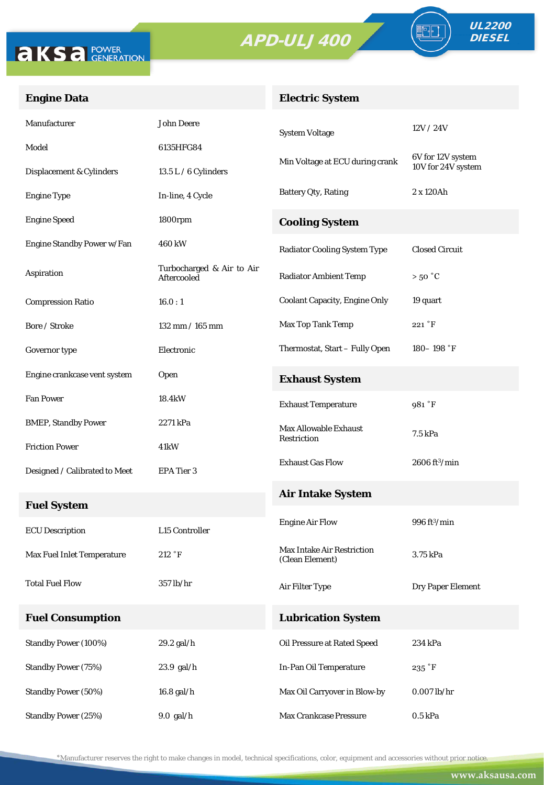



FO

### **Engine Data**

## **Electric System**

| Manufacturer                  | <b>John Deere</b>                        | <b>System Voltage</b>                                | 12V/24V                       |
|-------------------------------|------------------------------------------|------------------------------------------------------|-------------------------------|
| Model                         | 6135HFG84                                |                                                      | 6V for 12V system             |
| Displacement & Cylinders      | $13.5 L / 6$ Cylinders                   | Min Voltage at ECU during crank                      | 10V for 24V system            |
| <b>Engine Type</b>            | In-line, 4 Cycle                         | <b>Battery Qty, Rating</b>                           | 2 x 120Ah                     |
| <b>Engine Speed</b>           | 1800rpm                                  | <b>Cooling System</b>                                |                               |
| Engine Standby Power w/Fan    | 460 kW                                   | <b>Radiator Cooling System Type</b>                  | <b>Closed Circuit</b>         |
| Aspiration                    | Turbocharged & Air to Air<br>Aftercooled | <b>Radiator Ambient Temp</b>                         | $>50\degree C$                |
| <b>Compression Ratio</b>      | 16.0:1                                   | <b>Coolant Capacity, Engine Only</b>                 | 19 quart                      |
| Bore / Stroke                 | $132$ mm $/ 165$ mm                      | Max Top Tank Temp                                    | 221 °F                        |
| Governor type                 | Electronic                               | Thermostat, Start - Fully Open                       | $180 - 198$ °F                |
| Engine crankcase vent system  | <b>Open</b>                              | <b>Exhaust System</b>                                |                               |
| <b>Fan Power</b>              | 18.4kW                                   | <b>Exhaust Temperature</b>                           | 981 °F                        |
| <b>BMEP, Standby Power</b>    | 2271 kPa                                 | <b>Max Allowable Exhaust</b><br>Restriction          | 7.5 kPa                       |
| <b>Friction Power</b>         | 41kW                                     |                                                      |                               |
| Designed / Calibrated to Meet | EPA Tier 3                               | <b>Exhaust Gas Flow</b>                              | $2606$ ft <sup>3</sup> /min   |
| <b>Fuel System</b>            |                                          | <b>Air Intake System</b>                             |                               |
| <b>ECU Description</b>        | L15 Controller                           | <b>Engine Air Flow</b>                               | $996 \text{ ft}^3/\text{min}$ |
| Max Fuel Inlet Temperature    | 212 °F                                   | <b>Max Intake Air Restriction</b><br>(Clean Element) | 3.75 kPa                      |
| <b>Total Fuel Flow</b>        | 357 lb/hr                                | Air Filter Type                                      | Dry Paper Element             |
| <b>Fuel Consumption</b>       |                                          | <b>Lubrication System</b>                            |                               |
| <b>Standby Power (100%)</b>   | 29.2 gal/h                               | Oil Pressure at Rated Speed                          | 234 kPa                       |
| <b>Standby Power (75%)</b>    | 23.9 gal/h                               | In-Pan Oil Temperature                               | $235$ $\degree$ F             |
| <b>Standby Power (50%)</b>    | 16.8 gal/h                               | Max Oil Carryover in Blow-by                         | $0.007$ lb/hr                 |
| <b>Standby Power (25%)</b>    | $9.0$ gal/h                              | Max Crankcase Pressure                               | 0.5 kPa                       |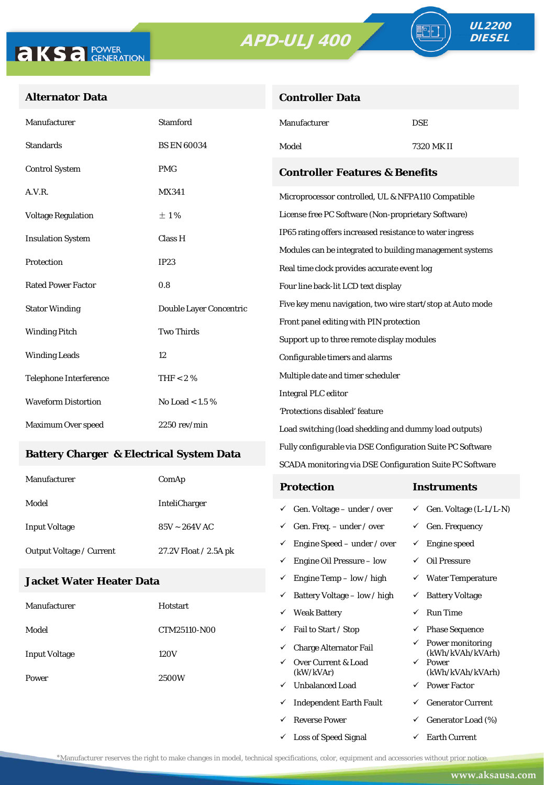**Controller Data**



### **Alternator Data**

| Manufacturer                                    | <b>Stamford</b>         | Manufacturer                                               | <b>DSE</b> |  |  |
|-------------------------------------------------|-------------------------|------------------------------------------------------------|------------|--|--|
| <b>Standards</b>                                | <b>BS EN 60034</b>      | Model                                                      | 7320 MK II |  |  |
| <b>Control System</b>                           | <b>PMG</b>              | <b>Controller Features &amp; Benefits</b>                  |            |  |  |
| A.V.R.                                          | <b>MX341</b>            | Microprocessor controlled, UL & NFPA110 Compatible         |            |  |  |
| <b>Voltage Regulation</b>                       | ±1%                     | License free PC Software (Non-proprietary Software)        |            |  |  |
| <b>Insulation System</b>                        | Class H                 | IP65 rating offers increased resistance to water ingress   |            |  |  |
|                                                 | IP23                    | Modules can be integrated to building management systems   |            |  |  |
| Protection                                      |                         | Real time clock provides accurate event log                |            |  |  |
| <b>Rated Power Factor</b>                       | 0.8                     | Four line back-lit LCD text display                        |            |  |  |
| <b>Stator Winding</b>                           | Double Layer Concentric | Five key menu navigation, two wire start/stop at Auto mode |            |  |  |
| <b>Two Thirds</b><br><b>Winding Pitch</b>       |                         | Front panel editing with PIN protection                    |            |  |  |
|                                                 |                         | Support up to three remote display modules                 |            |  |  |
| <b>Winding Leads</b>                            | 12                      | Configurable timers and alarms                             |            |  |  |
| <b>Telephone Interference</b>                   | THF $< 2 \%$            | Multiple date and timer scheduler                          |            |  |  |
| <b>Waveform Distortion</b><br>No Load < $1.5\%$ |                         | <b>Integral PLC editor</b>                                 |            |  |  |
|                                                 |                         | 'Protections disabled' feature                             |            |  |  |
| Maximum Over speed                              | $2250$ rev/min          | Load switching (load shedding and dummy load outputs)      |            |  |  |

#### **Battery Charger & Electrical System Data**

| Manufacturer                    | ComAp                 | <b>Protection</b>                        | Instruments                         |
|---------------------------------|-----------------------|------------------------------------------|-------------------------------------|
| Model                           | <b>InteliCharger</b>  | $\checkmark$ Gen. Voltage – under / over | $\checkmark$ Gen. Voltage (L-L/L-N) |
| <b>Input Voltage</b>            | $85V \sim 264V$ AC    | $\checkmark$ Gen. Freq. – under / over   | <b>Gen. Frequency</b>               |
| <b>Output Voltage / Current</b> | 27.2V Float / 2.5A pk | $\checkmark$ Engine Speed – under / over | Engine speed                        |
|                                 |                       | Engine Oil Pressure – low<br>✓           | Oil Pressure                        |

Fully configurable via DSE Configuration Suite PC Software SCADA monitoring via DSE Configuration Suite PC Software

 $\checkmark$  Engine Temp – low / high  $\checkmark$  Water Temperature

 $\checkmark$  Loss of Speed Signal  $\checkmark$  Earth Current

#### **Jacket Water Heater Data**

|                      |                 | $\checkmark$ | Battery Voltage – low / high     | ✓            | <b>Battery Voltage</b>                            |
|----------------------|-----------------|--------------|----------------------------------|--------------|---------------------------------------------------|
| Manufacturer         | <b>Hotstart</b> | $\checkmark$ | <b>Weak Battery</b>              | $\checkmark$ | <b>Run Time</b>                                   |
| Model                | CTM25110-N00    | ✓            | Fail to Start / Stop             | ✓            | <b>Phase Sequence</b>                             |
| <b>Input Voltage</b> | 120V            | $\checkmark$ | <b>Charge Alternator Fail</b>    |              | $\checkmark$ Power monitoring<br>(kWh/kVAh/kVArh) |
| Power                |                 | $\checkmark$ | Over Current & Load<br>(kW/kVAr) | $\checkmark$ | Power<br>(kWh/kVAh/kVArh)                         |
|                      | 2500W           | $\checkmark$ | <b>Unbalanced Load</b>           |              | $\checkmark$ Power Factor                         |
|                      |                 | ✓            | <b>Independent Earth Fault</b>   | ✓            | <b>Generator Current</b>                          |
|                      |                 | $\checkmark$ | <b>Reverse Power</b>             | ✓            | Generator Load (%)                                |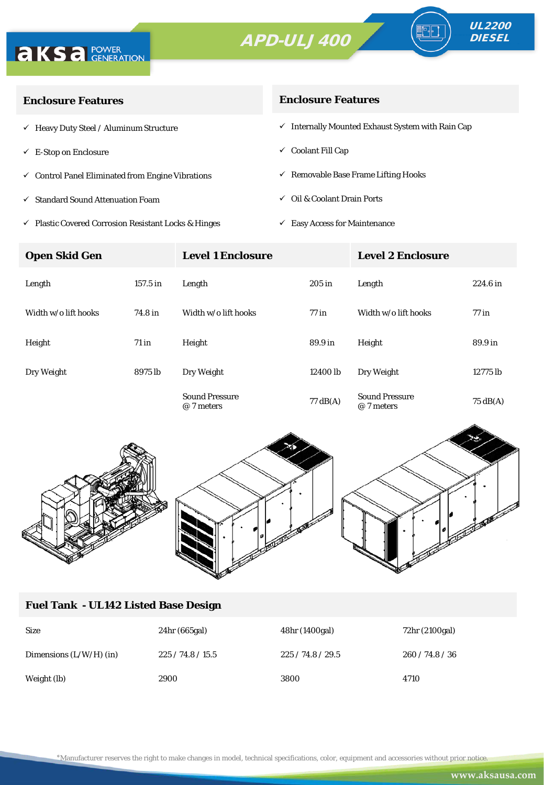



∘⊪

| <b>Enclosure Features</b>                                    | <b>Enclosure Features</b>                                    |
|--------------------------------------------------------------|--------------------------------------------------------------|
| $\checkmark$ Heavy Duty Steel / Aluminum Structure           | $\checkmark$ Internally Mounted Exhaust System with Rain Cap |
| $\checkmark$ E-Stop on Enclosure                             | $\checkmark$ Coolant Fill Cap                                |
| $\checkmark$ Control Panel Eliminated from Engine Vibrations | $\checkmark$ Removable Base Frame Lifting Hooks              |
| $\checkmark$ Standard Sound Attenuation Foam                 | $\checkmark$ Oil & Coolant Drain Ports                       |
|                                                              |                                                              |

 $\checkmark$ Plastic Covered Corrosion Resistant Locks & Hinges

 $\checkmark$  Easy Access for Maintenance

| <b>Open Skid Gen</b> |            | <b>Level 1 Enclosure</b>            |                    | <b>Level 2 Enclosure</b>            |                    |
|----------------------|------------|-------------------------------------|--------------------|-------------------------------------|--------------------|
| Length               | $157.5$ in | Length                              | $205$ in           | Length                              | $224.6$ in         |
| Width w/o lift hooks | 74.8 in    | Width w/o lift hooks                | $77$ in            | Width w/o lift hooks                | $77$ in            |
| Height               | $71$ in    | Height                              | 89.9 in            | Height                              | 89.9 in            |
| Dry Weight           | 8975 lb    | Dry Weight                          | 12400 lb           | Dry Weight                          | 12775 lb           |
|                      |            | <b>Sound Pressure</b><br>@ 7 meters | $77 \text{ dB}(A)$ | <b>Sound Pressure</b><br>@ 7 meters | $75 \text{ dB(A)}$ |



# **Fuel Tank - UL142 Listed Base Design**

| <b>Size</b>               | 24hr (665gal) | 48hr (1400gal) | 72hr (2100gal) |
|---------------------------|---------------|----------------|----------------|
| Dimensions $(L/W/H)$ (in) | 225/74.8/15.5 | 225/74.8/29.5  | 260/74.8/36    |
| Weight (lb)               | 2900          | 3800           | 4710           |